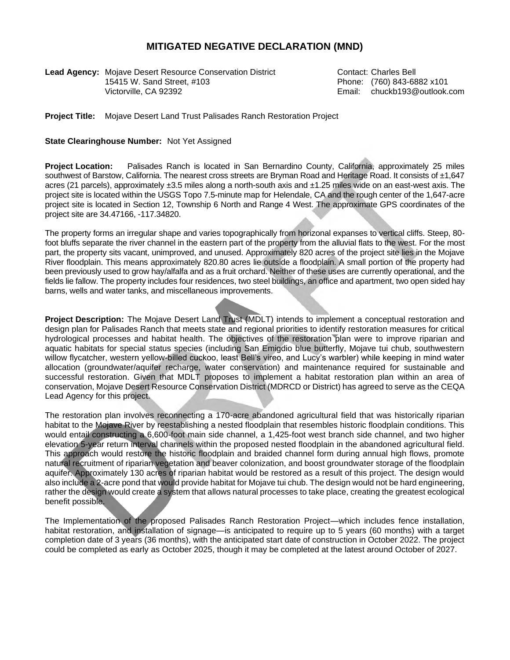## **MITIGATED NEGATIVE DECLARATION (MND)**

**Lead Agency:** Mojave Desert Resource Conservation District Contact: Charles Bell 15415 W. Sand Street, #103 Phone: (760) 843-6882 x101 Victorville, CA 92392 Email: chuckb193@outlook.com

**Project Title:** Mojave Desert Land Trust Palisades Ranch Restoration Project

## **State Clearinghouse Number:** Not Yet Assigned

**Project Location:** Palisades Ranch is located in San Bernardino County, California, approximately 25 miles southwest of Barstow, California. The nearest cross streets are Bryman Road and Heritage Road. It consists of  $\pm 1.647$ acres (21 parcels), approximately ±3.5 miles along a north-south axis and ±1.25 miles wide on an east-west axis. The project site is located within the USGS Topo 7.5-minute map for Helendale, CA and the rough center of the 1,647-acre project site is located in Section 12, Township 6 North and Range 4 West. The approximate GPS coordinates of the project site are 34.47166, -117.34820.

The property forms an irregular shape and varies topographically from horizonal expanses to vertical cliffs. Steep, 80 foot bluffs separate the river channel in the eastern part of the property from the alluvial flats to the west. For the most part, the property sits vacant, unimproved, and unused. Approximately 820 acres of the project site lies in the Mojave River floodplain. This means approximately 820.80 acres lie outside a floodplain. A small portion of the property had been previously used to grow hay/alfalfa and as a fruit orchard. Neither of these uses are currently operational, and the fields lie fallow. The property includes four residences, two steel buildings, an office and apartment, two open sided hay barns, wells and water tanks, and miscellaneous improvements.

**Project Description:** The Mojave Desert Land Trust (MDLT) intends to implement a conceptual restoration and design plan for Palisades Ranch that meets state and regional priorities to identify restoration measures for critical hydrological processes and habitat health. The objectives of the restoration plan were to improve riparian and aquatic habitats for special status species (including San Emigdio blue butterfly, Mojave tui chub, southwestern willow flycatcher, western yellow-billed cuckoo, least Bell's vireo, and Lucy's warbler) while keeping in mind water allocation (groundwater/aquifer recharge, water conservation) and maintenance required for sustainable and successful restoration. Given that MDLT proposes to implement a habitat restoration plan within an area of conservation, Mojave Desert Resource Conservation District (MDRCD or District) has agreed to serve as the CEQA Lead Agency for this project.

The restoration plan involves reconnecting a 170-acre abandoned agricultural field that was historically riparian habitat to the Mojave River by reestablishing a nested floodplain that resembles historic floodplain conditions. This would entail constructing a 6,600-foot main side channel, a 1,425-foot west branch side channel, and two higher elevation 5-year return interval channels within the proposed nested floodplain in the abandoned agricultural field. This approach would restore the historic floodplain and braided channel form during annual high flows, promote natural recruitment of riparian vegetation and beaver colonization, and boost groundwater storage of the floodplain aquifer. Approximately 130 acres of riparian habitat would be restored as a result of this project. The design would also include a 2-acre pond that would provide habitat for Mojave tui chub. The design would not be hard engineering, rather the design would create a system that allows natural processes to take place, creating the greatest ecological benefit possible.

The Implementation of the proposed Palisades Ranch Restoration Project—which includes fence installation, habitat restoration, and installation of signage—is anticipated to require up to 5 years (60 months) with a target completion date of 3 years (36 months), with the anticipated start date of construction in October 2022. The project could be completed as early as October 2025, though it may be completed at the latest around October of 2027.